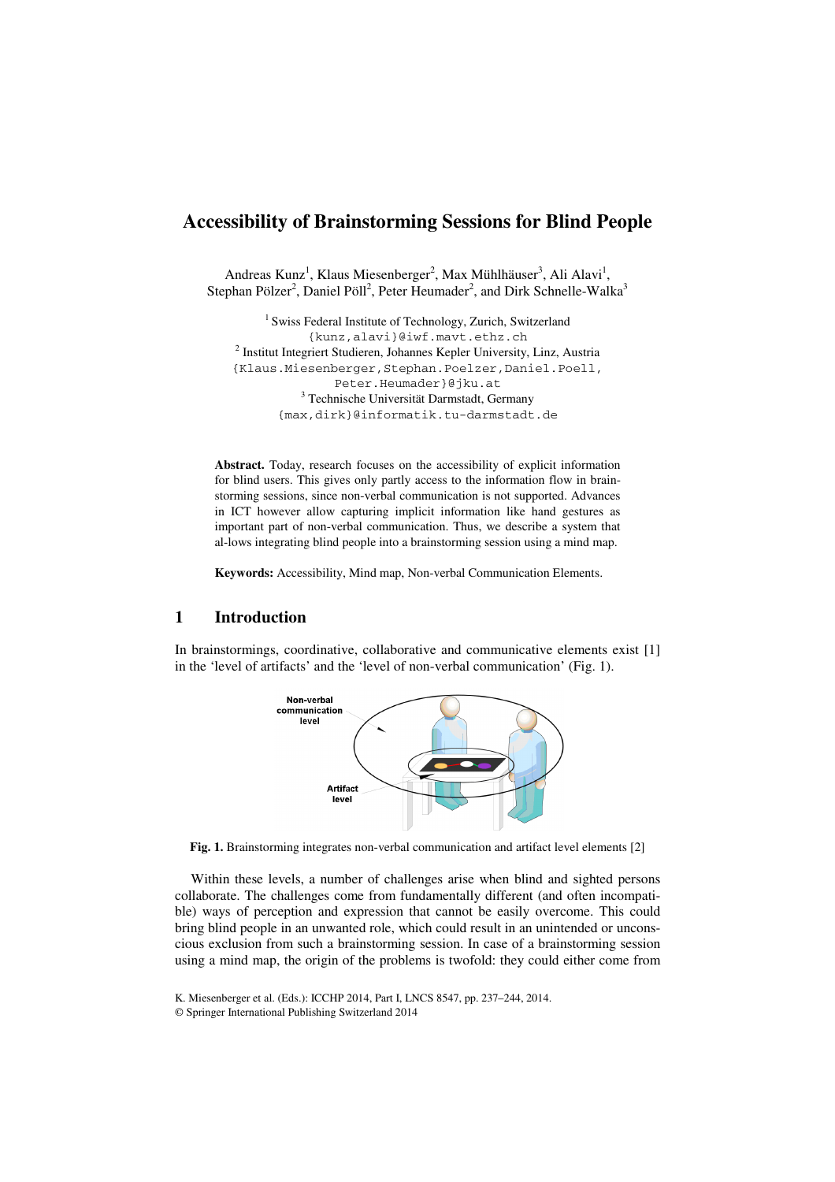# **Accessibility of Brainstorming Sessions for Blind People**

Andreas Kunz<sup>1</sup>, Klaus Miesenberger<sup>2</sup>, Max Mühlhäuser<sup>3</sup>, Ali Alavi<sup>1</sup>, Stephan Pölzer<sup>2</sup>, Daniel Pöll<sup>2</sup>, Peter Heumader<sup>2</sup>, and Dirk Schnelle-Walka<sup>3</sup>

<sup>1</sup> Swiss Federal Institute of Technology, Zurich, Switzerland {kunz,alavi}@iwf.mavt.ethz.ch <sup>2</sup> Institut Integriert Studieren, Johannes Kepler University, Linz, Austria {Klaus.Miesenberger,Stephan.Poelzer,Daniel.Poell, Peter.Heumader}@jku.at 3 Technische Universität Darmstadt, Germany {max,dirk}@informatik.tu-darmstadt.de

**Abstract.** Today, research focuses on the accessibility of explicit information for blind users. This gives only partly access to the information flow in brainstorming sessions, since non-verbal communication is not supported. Advances in ICT however allow capturing implicit information like hand gestures as important part of non-verbal communication. Thus, we describe a system that al-lows integrating blind people into a brainstorming session using a mind map.

**Keywords:** Accessibility, Mind map, Non-verbal Communication Elements.

## **1 Introduction**

In brainstormings, coordinative, collaborative and communicative elements exist [1] in the 'level of artifacts' and the 'level of non-verbal communication' (Fig. 1).



**Fig. 1.** Brainstorming integrates non-verbal communication and artifact level elements [2]

Within these levels, a number of challenges arise when blind and sighted persons collaborate. The challenges come from fundamentally different (and often incompatible) ways of perception and expression that cannot be easily overcome. This could bring blind people in an unwanted role, which could result in an unintended or unconscious exclusion from such a brainstorming session. In case of a brainstorming session using a mind map, the origin of the problems is twofold: they could either come from

K. Miesenberger et al. (Eds.): ICCHP 2014, Part I, LNCS 8547, pp. 237–244, 2014.

<sup>©</sup> Springer International Publishing Switzerland 2014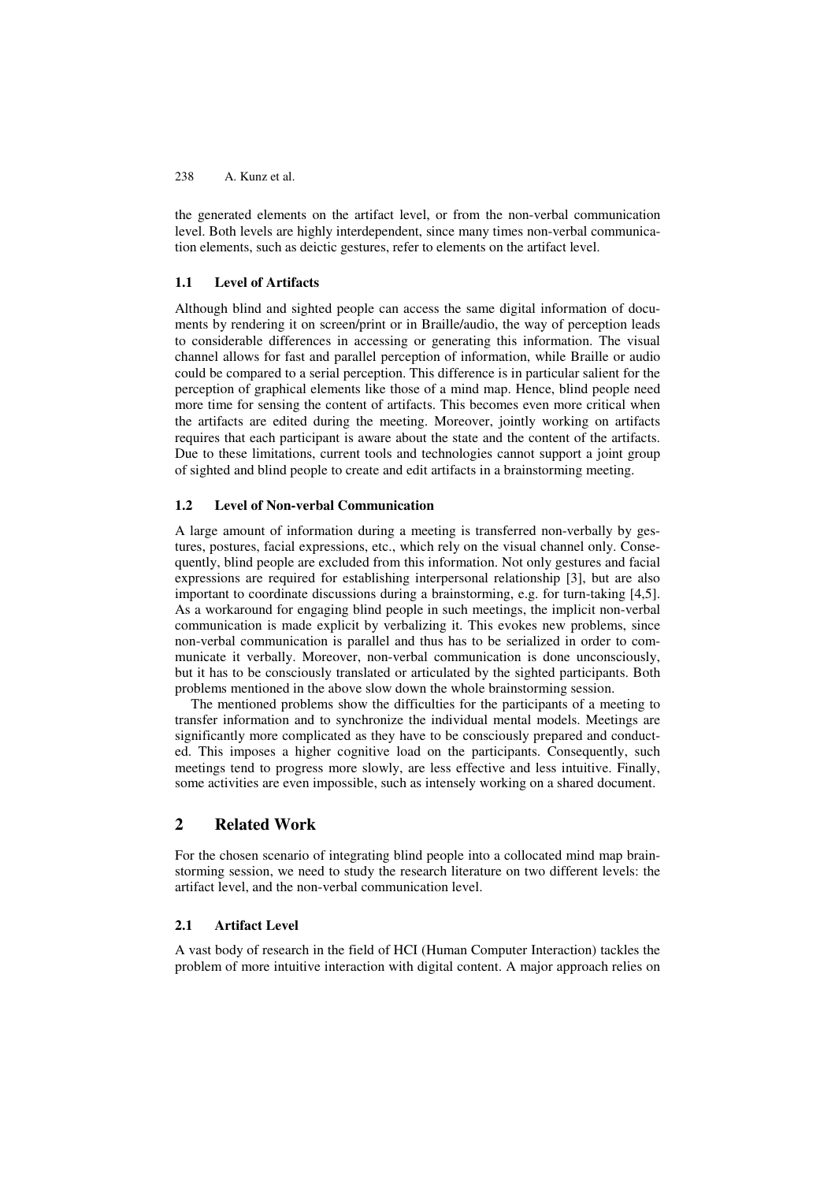the generated elements on the artifact level, or from the non-verbal communication level. Both levels are highly interdependent, since many times non-verbal communication elements, such as deictic gestures, refer to elements on the artifact level.

#### **1.1 Level of Artifacts**

Although blind and sighted people can access the same digital information of documents by rendering it on screen/print or in Braille/audio, the way of perception leads to considerable differences in accessing or generating this information. The visual channel allows for fast and parallel perception of information, while Braille or audio could be compared to a serial perception. This difference is in particular salient for the perception of graphical elements like those of a mind map. Hence, blind people need more time for sensing the content of artifacts. This becomes even more critical when the artifacts are edited during the meeting. Moreover, jointly working on artifacts requires that each participant is aware about the state and the content of the artifacts. Due to these limitations, current tools and technologies cannot support a joint group of sighted and blind people to create and edit artifacts in a brainstorming meeting.

## **1.2 Level of Non-verbal Communication**

A large amount of information during a meeting is transferred non-verbally by gestures, postures, facial expressions, etc., which rely on the visual channel only. Consequently, blind people are excluded from this information. Not only gestures and facial expressions are required for establishing interpersonal relationship [3], but are also important to coordinate discussions during a brainstorming, e.g. for turn-taking [4,5]. As a workaround for engaging blind people in such meetings, the implicit non-verbal communication is made explicit by verbalizing it. This evokes new problems, since non-verbal communication is parallel and thus has to be serialized in order to communicate it verbally. Moreover, non-verbal communication is done unconsciously, but it has to be consciously translated or articulated by the sighted participants. Both problems mentioned in the above slow down the whole brainstorming session.

The mentioned problems show the difficulties for the participants of a meeting to transfer information and to synchronize the individual mental models. Meetings are significantly more complicated as they have to be consciously prepared and conducted. This imposes a higher cognitive load on the participants. Consequently, such meetings tend to progress more slowly, are less effective and less intuitive. Finally, some activities are even impossible, such as intensely working on a shared document.

## **2 Related Work**

For the chosen scenario of integrating blind people into a collocated mind map brainstorming session, we need to study the research literature on two different levels: the artifact level, and the non-verbal communication level.

#### **2.1 Artifact Level**

A vast body of research in the field of HCI (Human Computer Interaction) tackles the problem of more intuitive interaction with digital content. A major approach relies on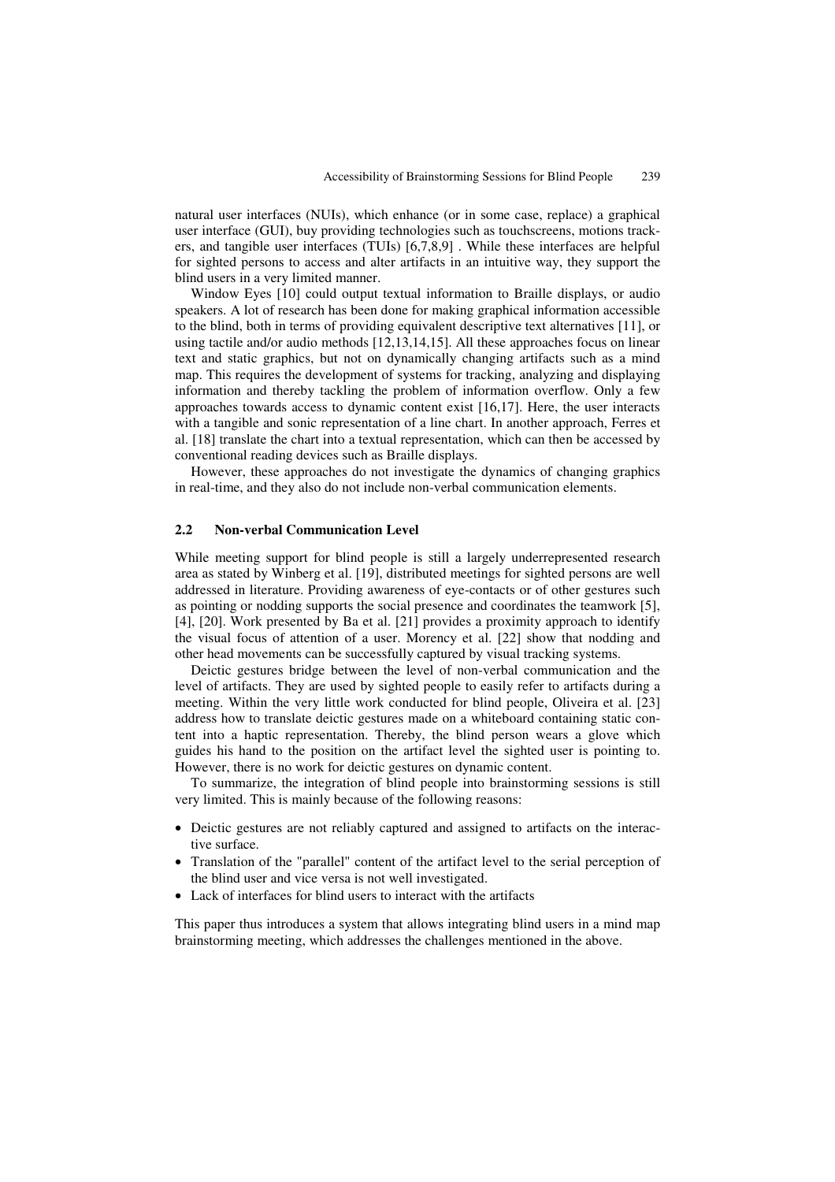natural user interfaces (NUIs), which enhance (or in some case, replace) a graphical user interface (GUI), buy providing technologies such as touchscreens, motions trackers, and tangible user interfaces (TUIs) [6,7,8,9] . While these interfaces are helpful for sighted persons to access and alter artifacts in an intuitive way, they support the blind users in a very limited manner.

Window Eyes [10] could output textual information to Braille displays, or audio speakers. A lot of research has been done for making graphical information accessible to the blind, both in terms of providing equivalent descriptive text alternatives [11], or using tactile and/or audio methods [12,13,14,15]. All these approaches focus on linear text and static graphics, but not on dynamically changing artifacts such as a mind map. This requires the development of systems for tracking, analyzing and displaying information and thereby tackling the problem of information overflow. Only a few approaches towards access to dynamic content exist [16,17]. Here, the user interacts with a tangible and sonic representation of a line chart. In another approach, Ferres et al. [18] translate the chart into a textual representation, which can then be accessed by conventional reading devices such as Braille displays.

However, these approaches do not investigate the dynamics of changing graphics in real-time, and they also do not include non-verbal communication elements.

#### **2.2 Non-verbal Communication Level**

While meeting support for blind people is still a largely underrepresented research area as stated by Winberg et al. [19], distributed meetings for sighted persons are well addressed in literature. Providing awareness of eye-contacts or of other gestures such as pointing or nodding supports the social presence and coordinates the teamwork [5], [4], [20]. Work presented by Ba et al. [21] provides a proximity approach to identify the visual focus of attention of a user. Morency et al. [22] show that nodding and other head movements can be successfully captured by visual tracking systems.

Deictic gestures bridge between the level of non-verbal communication and the level of artifacts. They are used by sighted people to easily refer to artifacts during a meeting. Within the very little work conducted for blind people, Oliveira et al. [23] address how to translate deictic gestures made on a whiteboard containing static content into a haptic representation. Thereby, the blind person wears a glove which guides his hand to the position on the artifact level the sighted user is pointing to. However, there is no work for deictic gestures on dynamic content.

To summarize, the integration of blind people into brainstorming sessions is still very limited. This is mainly because of the following reasons:

- Deictic gestures are not reliably captured and assigned to artifacts on the interactive surface.
- Translation of the "parallel" content of the artifact level to the serial perception of the blind user and vice versa is not well investigated.
- Lack of interfaces for blind users to interact with the artifacts

This paper thus introduces a system that allows integrating blind users in a mind map brainstorming meeting, which addresses the challenges mentioned in the above.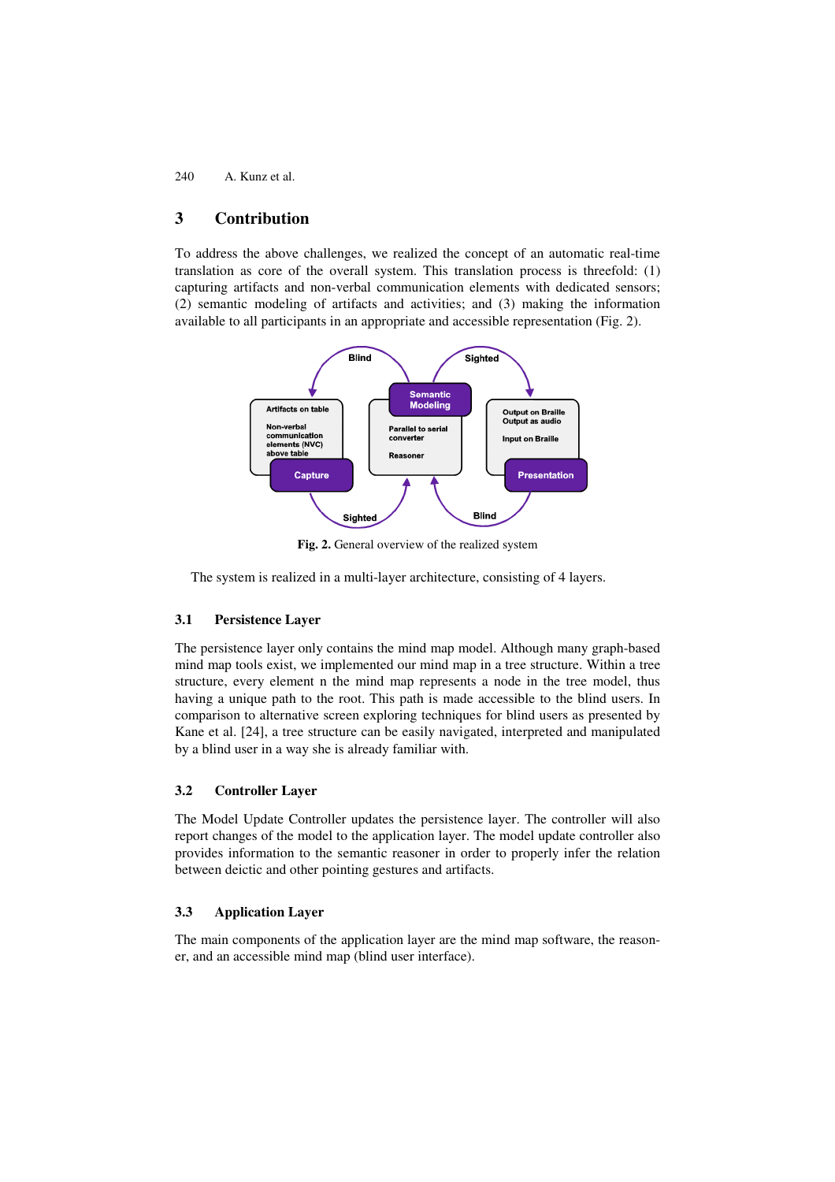## **3 Contribution**

To address the above challenges, we realized the concept of an automatic real-time translation as core of the overall system. This translation process is threefold: (1) capturing artifacts and non-verbal communication elements with dedicated sensors; (2) semantic modeling of artifacts and activities; and (3) making the information available to all participants in an appropriate and accessible representation (Fig. 2).



**Fig. 2.** General overview of the realized system

The system is realized in a multi-layer architecture, consisting of 4 layers.

#### **3.1 Persistence Layer**

The persistence layer only contains the mind map model. Although many graph-based mind map tools exist, we implemented our mind map in a tree structure. Within a tree structure, every element n the mind map represents a node in the tree model, thus having a unique path to the root. This path is made accessible to the blind users. In comparison to alternative screen exploring techniques for blind users as presented by Kane et al. [24], a tree structure can be easily navigated, interpreted and manipulated by a blind user in a way she is already familiar with.

#### **3.2 Controller Layer**

The Model Update Controller updates the persistence layer. The controller will also report changes of the model to the application layer. The model update controller also provides information to the semantic reasoner in order to properly infer the relation between deictic and other pointing gestures and artifacts.

## **3.3 Application Layer**

The main components of the application layer are the mind map software, the reasoner, and an accessible mind map (blind user interface).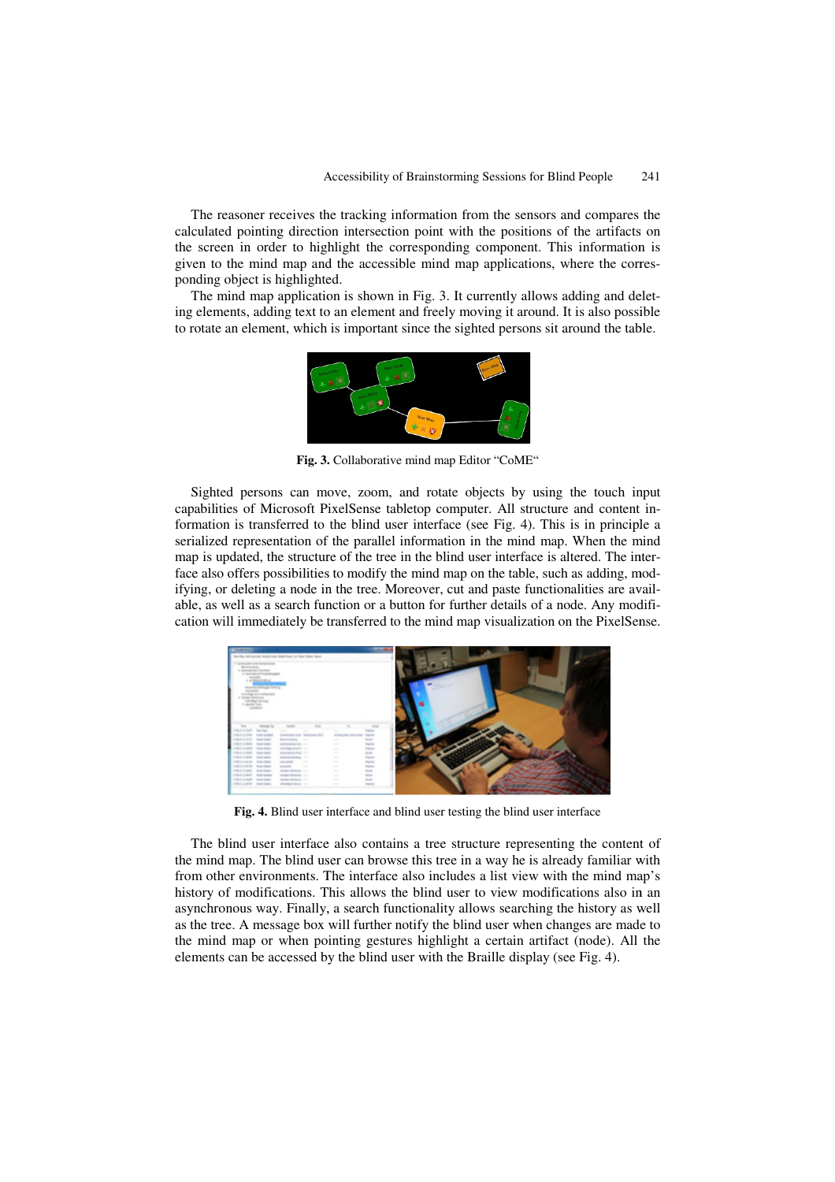The reasoner receives the tracking information from the sensors and compares the calculated pointing direction intersection point with the positions of the artifacts on the screen in order to highlight the corresponding component. This information is given to the mind map and the accessible mind map applications, where the corresponding object is highlighted.

The mind map application is shown in Fig. 3. It currently allows adding and deleting elements, adding text to an element and freely moving it around. It is also possible to rotate an element, which is important since the sighted persons sit around the table.



**Fig. 3. .** Collaborative mind map Editor "CoME"

Sighted persons can move, zoom, and rotate objects by using the touch input capabilities of Microsoft PixelSense tabletop computer. All structure and content information is transferred to the blind user interface (see Fig. 4). This is in principle a serialized representation of the parallel information in the mind map. When the mind map is updated, the structure of the tree in the blind user interface is altered. The interface also offers possibilities to modify the mind map on the table, such as adding, modifying, or deleting a node in the tree. Moreover, cut and paste functionalities are available, as well as a search function or a button for further details of a node. Any modification will immediately be transferred to the mind map visualization on the PixelSense.



Fig. 4. Blind user interface and blind user testing the blind user interface

The blind user interface also contains a tree structure representing the content of the mind map. The blind user can browse this tree in a way he is already familiar with from other environments. The interface also includes a list view with the mind map's history of modifications. This allows the blind user to view modifications also in an asynchronous way. Finally, a search functionality allows searching the history as well as the tree. A message box will further notify the blind user when changes are mad e to the mind map or when pointing gestures highlight a certain artifact (node). All the elements can be accessed by y the blind user with the Braille display (see Fig. 4).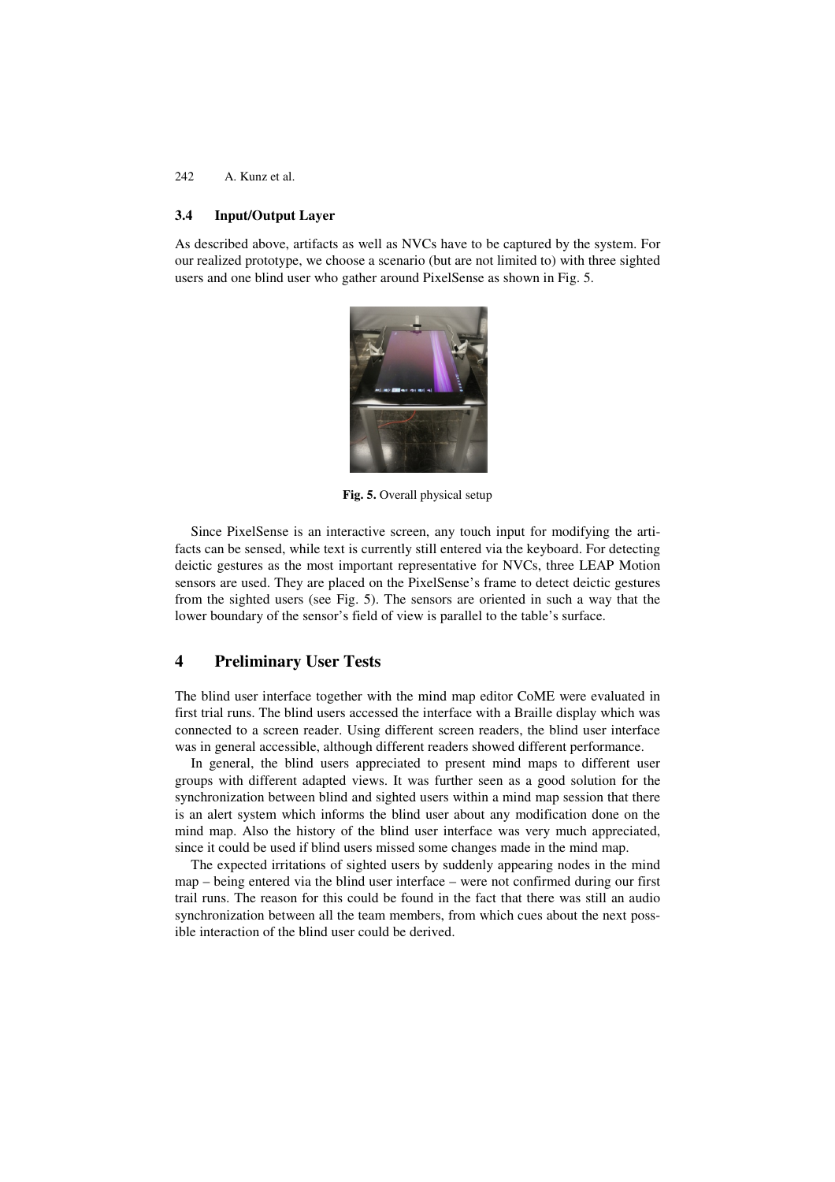#### **3.4 Input/Output Layer**

As described above, artifacts as well as NVCs have to be captured by the system. For our realized prototype, we choose a scenario (but are not limited to) with three sighted users and one blind user who gather around PixelSense as shown in Fig. 5.



**Fig. 5.** Overall physical setup

Since PixelSense is an interactive screen, any touch input for modifying the artifacts can be sensed, while text is currently still entered via the keyboard. For detecting deictic gestures as the most important representative for NVCs, three LEAP Motion sensors are used. They are placed on the PixelSense's frame to detect deictic gestures from the sighted users (see Fig. 5). The sensors are oriented in such a way that the lower boundary of the sensor's field of view is parallel to the table's surface.

## **4 Preliminary User Tests**

The blind user interface together with the mind map editor CoME were evaluated in first trial runs. The blind users accessed the interface with a Braille display which was connected to a screen reader. Using different screen readers, the blind user interface was in general accessible, although different readers showed different performance.

In general, the blind users appreciated to present mind maps to different user groups with different adapted views. It was further seen as a good solution for the synchronization between blind and sighted users within a mind map session that there is an alert system which informs the blind user about any modification done on the mind map. Also the history of the blind user interface was very much appreciated, since it could be used if blind users missed some changes made in the mind map.

The expected irritations of sighted users by suddenly appearing nodes in the mind map – being entered via the blind user interface – were not confirmed during our first trail runs. The reason for this could be found in the fact that there was still an audio synchronization between all the team members, from which cues about the next possible interaction of the blind user could be derived.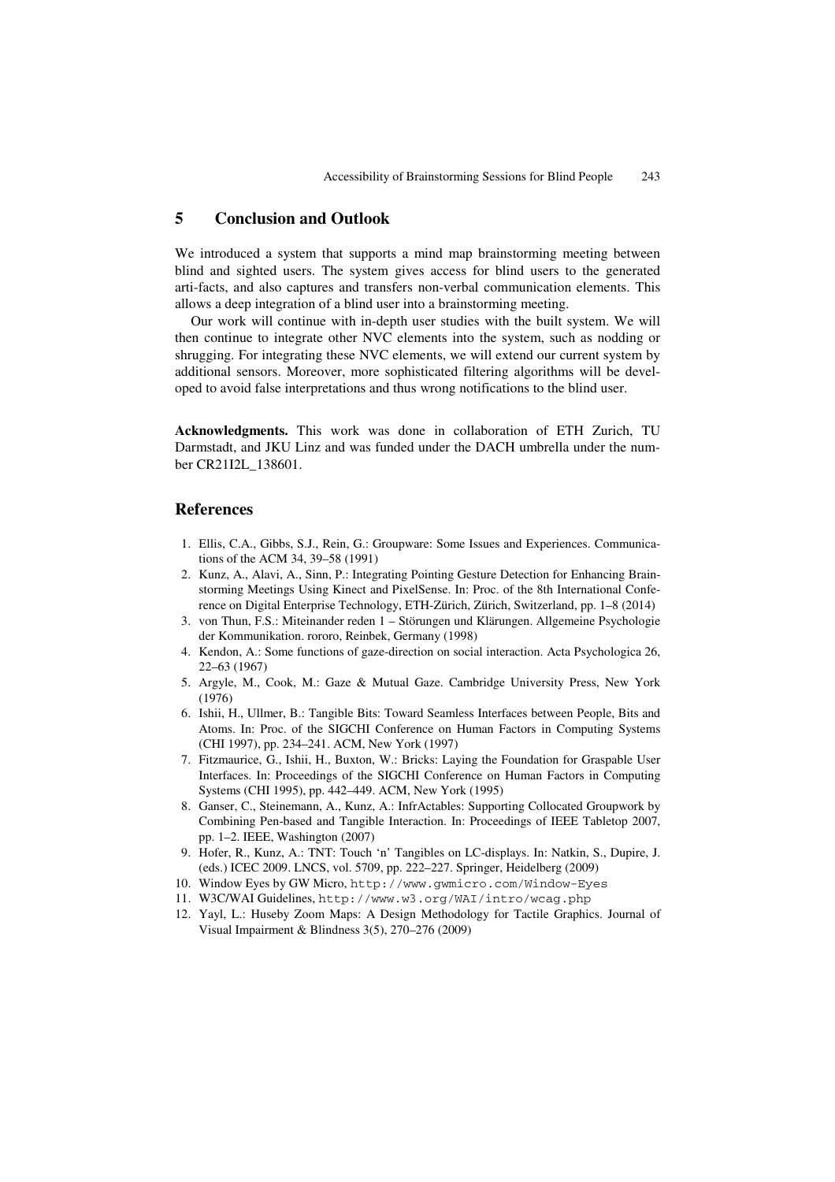## **5 Conclusion and Outlook**

We introduced a system that supports a mind map brainstorming meeting between blind and sighted users. The system gives access for blind users to the generated arti-facts, and also captures and transfers non-verbal communication elements. This allows a deep integration of a blind user into a brainstorming meeting.

Our work will continue with in-depth user studies with the built system. We will then continue to integrate other NVC elements into the system, such as nodding or shrugging. For integrating these NVC elements, we will extend our current system by additional sensors. Moreover, more sophisticated filtering algorithms will be developed to avoid false interpretations and thus wrong notifications to the blind user.

**Acknowledgments.** This work was done in collaboration of ETH Zurich, TU Darmstadt, and JKU Linz and was funded under the DACH umbrella under the number CR21I2L\_138601.

### **References**

- 1. Ellis, C.A., Gibbs, S.J., Rein, G.: Groupware: Some Issues and Experiences. Communications of the ACM 34, 39–58 (1991)
- 2. Kunz, A., Alavi, A., Sinn, P.: Integrating Pointing Gesture Detection for Enhancing Brainstorming Meetings Using Kinect and PixelSense. In: Proc. of the 8th International Conference on Digital Enterprise Technology, ETH-Zürich, Zürich, Switzerland, pp. 1–8 (2014)
- 3. von Thun, F.S.: Miteinander reden 1 Störungen und Klärungen. Allgemeine Psychologie der Kommunikation. rororo, Reinbek, Germany (1998)
- 4. Kendon, A.: Some functions of gaze-direction on social interaction. Acta Psychologica 26, 22–63 (1967)
- 5. Argyle, M., Cook, M.: Gaze & Mutual Gaze. Cambridge University Press, New York (1976)
- 6. Ishii, H., Ullmer, B.: Tangible Bits: Toward Seamless Interfaces between People, Bits and Atoms. In: Proc. of the SIGCHI Conference on Human Factors in Computing Systems (CHI 1997), pp. 234–241. ACM, New York (1997)
- 7. Fitzmaurice, G., Ishii, H., Buxton, W.: Bricks: Laying the Foundation for Graspable User Interfaces. In: Proceedings of the SIGCHI Conference on Human Factors in Computing Systems (CHI 1995), pp. 442–449. ACM, New York (1995)
- 8. Ganser, C., Steinemann, A., Kunz, A.: InfrActables: Supporting Collocated Groupwork by Combining Pen-based and Tangible Interaction. In: Proceedings of IEEE Tabletop 2007, pp. 1–2. IEEE, Washington (2007)
- 9. Hofer, R., Kunz, A.: TNT: Touch 'n' Tangibles on LC-displays. In: Natkin, S., Dupire, J. (eds.) ICEC 2009. LNCS, vol. 5709, pp. 222–227. Springer, Heidelberg (2009)
- 10. Window Eyes by GW Micro, http://www.gwmicro.com/Window-Eyes
- 11. W3C/WAI Guidelines, http://www.w3.org/WAI/intro/wcag.php
- 12. Yayl, L.: Huseby Zoom Maps: A Design Methodology for Tactile Graphics. Journal of Visual Impairment & Blindness 3(5), 270–276 (2009)